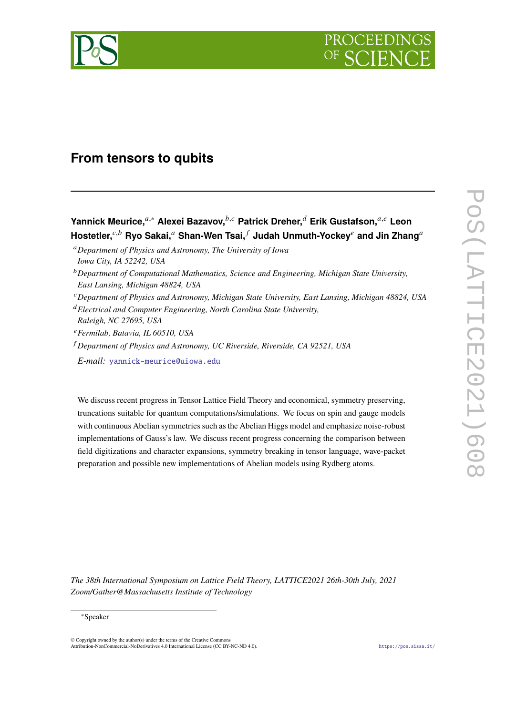

# **From tensors to qubits**

## **Yannick Meurice,**<sup>*a*,∗</sup> Alexei Bazavov,<sup>*b,c*</sup> Patrick Dreher,<sup>*d*</sup> Erik Gustafson,<sup>*a,e*</sup> Leon</sub> Hostetler,<sup>*c,b*</sup> Ryo Sakai,<sup>*a*</sup> Shan-Wen Tsai,<sup>*f*</sup> Judah Unmuth-Yockey<sup>*e*</sup> and Jin Zhang<sup>*a*</sup>

*Department of Physics and Astronomy, The University of Iowa Iowa City, IA 52242, USA*

- *Department of Physics and Astronomy, Michigan State University, East Lansing, Michigan 48824, USA*
- *Electrical and Computer Engineering, North Carolina State University, Raleigh, NC 27695, USA*
- *Fermilab, Batavia, IL 60510, USA*
- *Department of Physics and Astronomy, UC Riverside, Riverside, CA 92521, USA*

*E-mail:* [yannick-meurice@uiowa.edu](mailto:yannick-meurice@uiowa.edu)

We discuss recent progress in Tensor Lattice Field Theory and economical, symmetry preserving, truncations suitable for quantum computations/simulations. We focus on spin and gauge models with continuous Abelian symmetries such as the Abelian Higgs model and emphasize noise-robust implementations of Gauss's law. We discuss recent progress concerning the comparison between field digitizations and character expansions, symmetry breaking in tensor language, wave-packet preparation and possible new implementations of Abelian models using Rydberg atoms.

POS(IATTICE2021)608 PoS(LATTICE2021)608

*The 38th International Symposium on Lattice Field Theory, LATTICE2021 26th-30th July, 2021 Zoom/Gather@Massachusetts Institute of Technology*

#### <sup>∗</sup>Speaker

© Copyright owned by the author(s) under the terms of the Creative Commons Attribution-NonCommercial-NoDerivatives 4.0 International License (CC BY-NC-ND 4.0). <https://pos.sissa.it/>

*Department of Computational Mathematics, Science and Engineering, Michigan State University, East Lansing, Michigan 48824, USA*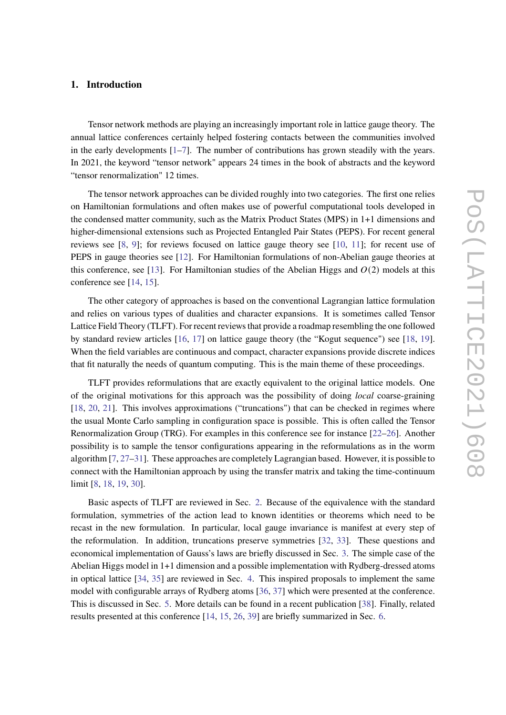## **1. Introduction**

Tensor network methods are playing an increasingly important role in lattice gauge theory. The annual lattice conferences certainly helped fostering contacts between the communities involved in the early developments  $[1-7]$  $[1-7]$ . The number of contributions has grown steadily with the years. In 2021, the keyword "tensor network" appears 24 times in the book of abstracts and the keyword "tensor renormalization" 12 times.

The tensor network approaches can be divided roughly into two categories. The first one relies on Hamiltonian formulations and often makes use of powerful computational tools developed in the condensed matter community, such as the Matrix Product States (MPS) in 1+1 dimensions and higher-dimensional extensions such as Projected Entangled Pair States (PEPS). For recent general reviews see [\[8,](#page-8-1) [9\]](#page-8-2); for reviews focused on lattice gauge theory see [\[10,](#page-8-3) [11\]](#page-8-4); for recent use of PEPS in gauge theories see [\[12\]](#page-8-5). For Hamiltonian formulations of non-Abelian gauge theories at this conference, see [\[13\]](#page-8-6). For Hamiltonian studies of the Abelian Higgs and  $O(2)$  models at this conference see [\[14,](#page-8-7) [15\]](#page-8-8).

The other category of approaches is based on the conventional Lagrangian lattice formulation and relies on various types of dualities and character expansions. It is sometimes called Tensor Lattice Field Theory (TLFT). For recent reviews that provide a roadmap resembling the one followed by standard review articles [\[16,](#page-8-9) [17\]](#page-9-0) on lattice gauge theory (the "Kogut sequence") see [\[18,](#page-9-1) [19\]](#page-9-2). When the field variables are continuous and compact, character expansions provide discrete indices that fit naturally the needs of quantum computing. This is the main theme of these proceedings.

TLFT provides reformulations that are exactly equivalent to the original lattice models. One of the original motivations for this approach was the possibility of doing *local* coarse-graining [\[18,](#page-9-1) [20,](#page-9-3) [21\]](#page-9-4). This involves approximations ("truncations") that can be checked in regimes where the usual Monte Carlo sampling in configuration space is possible. This is often called the Tensor Renormalization Group (TRG). For examples in this conference see for instance [\[22](#page-9-5)[–26\]](#page-9-6). Another possibility is to sample the tensor configurations appearing in the reformulations as in the worm algorithm [\[7,](#page-8-0) [27](#page-9-7)[–31\]](#page-9-8). These approaches are completely Lagrangian based. However, it is possible to connect with the Hamiltonian approach by using the transfer matrix and taking the time-continuum limit [\[8,](#page-8-1) [18,](#page-9-1) [19,](#page-9-2) [30\]](#page-9-9).

Basic aspects of TLFT are reviewed in Sec. [2.](#page-2-0) Because of the equivalence with the standard formulation, symmetries of the action lead to known identities or theorems which need to be recast in the new formulation. In particular, local gauge invariance is manifest at every step of the reformulation. In addition, truncations preserve symmetries [\[32,](#page-10-0) [33\]](#page-10-1). These questions and economical implementation of Gauss's laws are briefly discussed in Sec. [3.](#page-3-0) The simple case of the Abelian Higgs model in 1+1 dimension and a possible implementation with Rydberg-dressed atoms in optical lattice [\[34,](#page-10-2) [35\]](#page-10-3) are reviewed in Sec. [4.](#page-3-1) This inspired proposals to implement the same model with configurable arrays of Rydberg atoms [\[36,](#page-10-4) [37\]](#page-10-5) which were presented at the conference. This is discussed in Sec. [5.](#page-4-0) More details can be found in a recent publication [\[38\]](#page-10-6). Finally, related results presented at this conference [\[14,](#page-8-7) [15,](#page-8-8) [26,](#page-9-6) [39\]](#page-10-7) are briefly summarized in Sec. [6.](#page-6-0)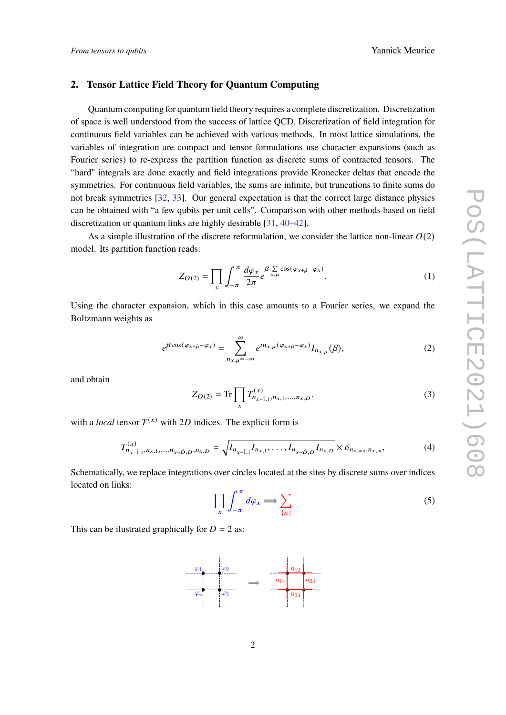## <span id="page-2-0"></span>**2. Tensor Lattice Field Theory for Quantum Computing**

Quantum computing for quantum field theory requires a complete discretization. Discretization of space is well understood from the success of lattice QCD. Discretization of field integration for continuous field variables can be achieved with various methods. In most lattice simulations, the variables of integration are compact and tensor formulations use character expansions (such as Fourier series) to re-express the partition function as discrete sums of contracted tensors. The "hard" integrals are done exactly and field integrations provide Kronecker deltas that encode the symmetries. For continuous field variables, the sums are infinite, but truncations to finite sums do not break symmetries [\[32,](#page-10-0) [33\]](#page-10-1). Our general expectation is that the correct large distance physics can be obtained with "a few qubits per unit cells". Comparison with other methods based on field discretization or quantum links are highly desirable [\[31,](#page-9-8) [40](#page-10-8)[–42\]](#page-10-9).

As a simple illustration of the discrete reformulation, we consider the lattice non-linear  $O(2)$ model. Its partition function reads:

$$
Z_{O(2)} = \prod_{x} \int_{-\pi}^{\pi} \frac{d\varphi_x}{2\pi} e^{\beta \sum_{x,\mu} \cos(\varphi_{x+\hat{\mu}} - \varphi_x)}.
$$
 (1)

Using the character expansion, which in this case amounts to a Fourier series, we expand the Boltzmann weights as

$$
e^{\beta \cos(\varphi_{x+\hat{\mu}}-\varphi_x)} = \sum_{n_{x,\mu}=-\infty}^{\infty} e^{in_{x,\mu}(\varphi_{x+\hat{\mu}}-\varphi_x)} I_{n_{x,\mu}}(\beta), \tag{2}
$$

and obtain

$$
Z_{O(2)} = \text{Tr} \prod_{x} T_{n_{x-\hat{1},1}, n_{x,1}, \dots, n_{x,D}}^{(x)}.
$$
 (3)

with a *local* tensor  $T^{(x)}$  with 2D indices. The explicit form is

$$
T_{n_{x-\hat{1},1},n_{x,1},\ldots,n_{x-\hat{D},D},n_{x,D}}^{(x)} = \sqrt{I_{n_{x-\hat{1},1}}I_{n_{x,1},\ldots,I_{n_{x-\hat{D},D}}I_{n_{x,D}}}} \times \delta_{n_{x,\text{out}},n_{x,\text{in}}},\tag{4}
$$

Schematically, we replace integrations over circles located at the sites by discrete sums over indices located on links:

$$
\prod_{x} \int_{-\pi}^{\pi} d\varphi_x \Longrightarrow \sum_{\{n\}} \tag{5}
$$

This can be illustrated graphically for  $D = 2$  as:

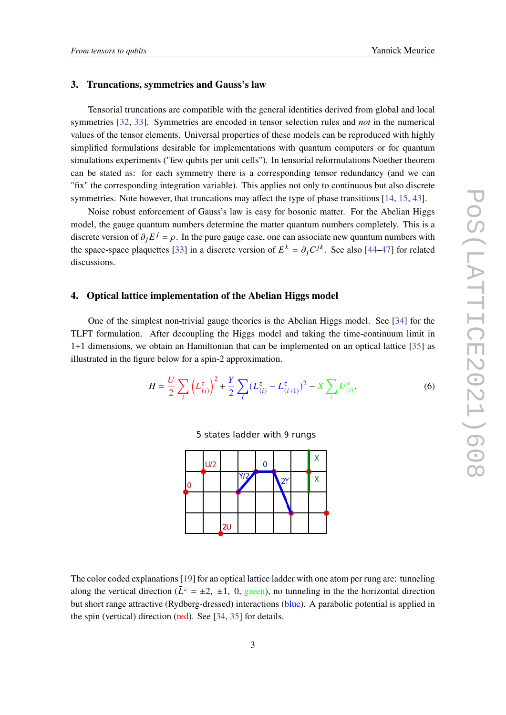## <span id="page-3-0"></span>**3. Truncations, symmetries and Gauss's law**

Tensorial truncations are compatible with the general identities derived from global and local symmetries [\[32,](#page-10-0) [33\]](#page-10-1). Symmetries are encoded in tensor selection rules and *not* in the numerical values of the tensor elements. Universal properties of these models can be reproduced with highly simplified formulations desirable for implementations with quantum computers or for quantum simulations experiments ("few qubits per unit cells"). In tensorial reformulations Noether theorem can be stated as: for each symmetry there is a corresponding tensor redundancy (and we can "fix" the corresponding integration variable). This applies not only to continuous but also discrete symmetries. Note however, that truncations may affect the type of phase transitions [\[14,](#page-8-7) [15,](#page-8-8) [43\]](#page-10-10).

Noise robust enforcement of Gauss's law is easy for bosonic matter. For the Abelian Higgs model, the gauge quantum numbers determine the matter quantum numbers completely. This is a discrete version of  $\partial_j E^j = \rho$ . In the pure gauge case, one can associate new quantum numbers with the space-space plaquettes [\[33\]](#page-10-1) in a discrete version of  $E^k = \partial_j C^{jk}$ . See also [\[44–](#page-10-11)[47\]](#page-11-0) for related discussions.

## <span id="page-3-1"></span>**4. Optical lattice implementation of the Abelian Higgs model**

One of the simplest non-trivial gauge theories is the Abelian Higgs model. See [\[34\]](#page-10-2) for the TLFT formulation. After decoupling the Higgs model and taking the time-continuum limit in 1+1 dimensions, we obtain an Hamiltonian that can be implemented on an optical lattice [\[35\]](#page-10-3) as illustrated in the figure below for a spin-2 approximation.

$$
H = \frac{U}{2} \sum_{i} \left( L_{(i)}^{z} \right)^{2} + \frac{Y}{2} \sum_{i} \left( L_{(i)}^{z} - L_{(i+1)}^{z} \right)^{2} - X \sum_{i} U_{(i)}^{x}.
$$
 (6)

5 states ladder with 9 rungs

|   | U/2 |    |     | 0 |    | У |
|---|-----|----|-----|---|----|---|
| ۵ |     |    | Y/2 |   | 2Y |   |
|   |     |    |     |   |    |   |
|   |     | 2U |     |   |    |   |

The color coded explanations [\[19\]](#page-9-2) for an optical lattice ladder with one atom per rung are: tunneling along the vertical direction ( $\bar{L}^z = \pm 2$ ,  $\pm 1$ , 0, green), no tunneling in the the horizontal direction but short range attractive (Rydberg-dressed) interactions (blue). A parabolic potential is applied in the spin (vertical) direction (red). See [\[34,](#page-10-2) [35\]](#page-10-3) for details.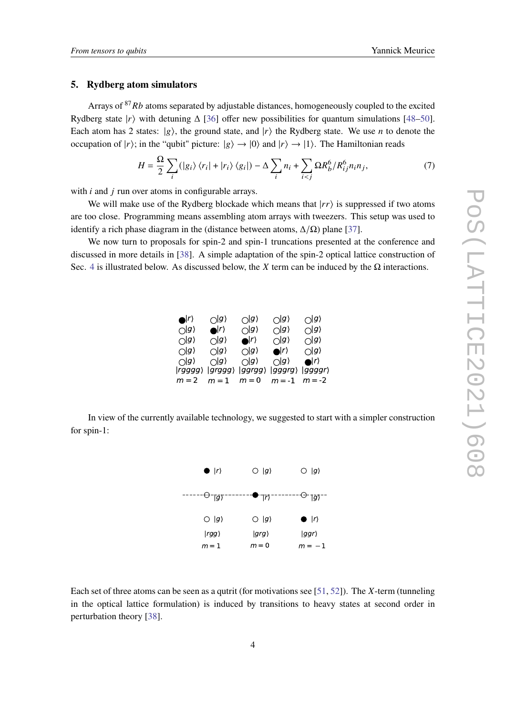#### <span id="page-4-0"></span>**5. Rydberg atom simulators**

Arrays of  $87 Rb$  atoms separated by adjustable distances, homogeneously coupled to the excited Rydberg state  $|r\rangle$  with detuning  $\Delta$  [\[36\]](#page-10-4) offer new possibilities for quantum simulations [\[48–](#page-11-1)[50\]](#page-11-2). Each atom has 2 states:  $|g\rangle$ , the ground state, and  $|r\rangle$  the Rydberg state. We use *n* to denote the occupation of  $|r\rangle$ ; in the "qubit" picture:  $|g\rangle \rightarrow |0\rangle$  and  $|r\rangle \rightarrow |1\rangle$ . The Hamiltonian reads

$$
H = \frac{\Omega}{2} \sum_{i} (|g_i\rangle \langle r_i| + |r_i\rangle \langle g_i|) - \Delta \sum_{i} n_i + \sum_{i < j} \Omega R_b^6 / R_{ij}^6 n_i n_j,\tag{7}
$$

with  $i$  and  $j$  run over atoms in configurable arrays.

We will make use of the Rydberg blockade which means that  $|r\rangle$  is suppressed if two atoms are too close. Programming means assembling atom arrays with tweezers. This setup was used to identify a rich phase diagram in the (distance between atoms,  $\Delta/\Omega$ ) plane [\[37\]](#page-10-5).

We now turn to proposals for spin-2 and spin-1 truncations presented at the conference and discussed in more details in [\[38\]](#page-10-6). A simple adaptation of the spin-2 optical lattice construction of Sec. [4](#page-3-1) is illustrated below. As discussed below, the X term can be induced by the  $\Omega$  interactions.

| $\bullet$             | $\bigcap$ g $\rangle$ | $\bigcap$ g $\rangle$ | $\bigcap$ g)                | $\bigcap$ g)                 |
|-----------------------|-----------------------|-----------------------|-----------------------------|------------------------------|
| $\bigcap$ g $\rangle$ | $\bullet$             | $\bigcap$ g $\rangle$ | $\bigcap$ g $\rangle$       | $\bigcap$ g $\rangle$        |
| $\bigcap$ g $\rangle$ | $\bigcap$ g $\rangle$ | $\bullet$             | $\bigcap$ g $\rangle$       | $\bigcap$ g)                 |
| $\bigcirc$  g)        | $\bigcap$ g $\rangle$ | $\bigcap$ g $\rangle$ | $\bullet$ $\vert r \rangle$ | $\bigcap$ g)                 |
| $\bigcap$ g)          | $\bigcap$ g $\rangle$ | $\bigcap$ g $\rangle$ | $\bigcap$ g)                | $\bigcirc$ $\vert r \rangle$ |
| $ rqqqq\rangle$       | $ gray\rangle$        | $ ggrgg\rangle$       | $ gggrg\rangle$             | <i><u><b>Jaggar</b></u></i>  |
| $m = 2$               | $m=1$ $m=0$           |                       | $m = -1$ $m = -2$           |                              |

In view of the currently available technology, we suggested to start with a simpler construction for spin-1:



Each set of three atoms can be seen as a qutrit (for motivations see [\[51,](#page-11-3) [52\]](#page-11-4)). The X-term (tunneling in the optical lattice formulation) is induced by transitions to heavy states at second order in perturbation theory [\[38\]](#page-10-6).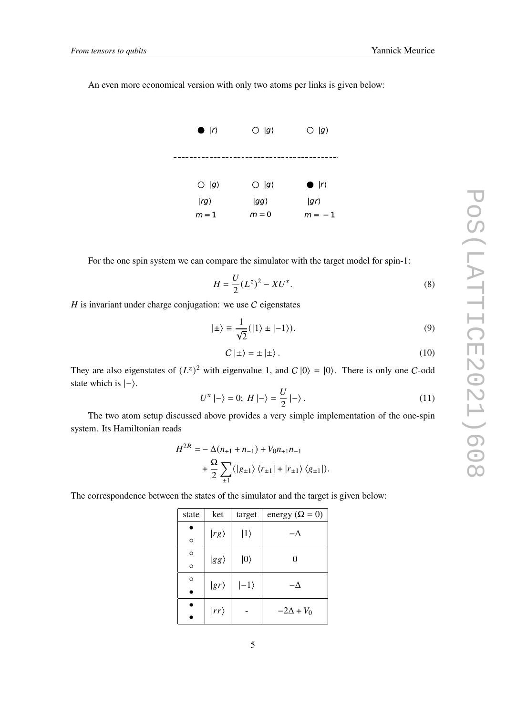An even more economical version with only two atoms per links is given below:



For the one spin system we can compare the simulator with the target model for spin-1:

$$
H = \frac{U}{2}(L^z)^2 - XU^x.
$$
 (8)

 $H$  is invariant under charge conjugation: we use  $C$  eigenstates

$$
|\pm\rangle \equiv \frac{1}{\sqrt{2}}(|1\rangle \pm |-1\rangle). \tag{9}
$$

$$
C \mid \pm \rangle = \pm \mid \pm \rangle. \tag{10}
$$

They are also eigenstates of  $(L^z)^2$  with eigenvalue 1, and  $C |0\rangle = |0\rangle$ . There is only one C-odd state which is  $|-\rangle$ .

$$
U^x \mid -\rangle = 0; \ H \mid -\rangle = \frac{U}{2} \mid -\rangle \,. \tag{11}
$$

The two atom setup discussed above provides a very simple implementation of the one-spin system. Its Hamiltonian reads

$$
\begin{split} H^{2R}=&-\Delta(n_{+1}+n_{-1})+V_0n_{+1}n_{-1}\\&+\frac{\Omega}{2}\sum_{\pm1}(|g_{\pm1}\rangle\,\langle r_{\pm1}|+|r_{\pm1}\rangle\,\langle g_{\pm1}|).\end{split}
$$

The correspondence between the states of the simulator and the target is given below:

| state   | ket           | target       | energy ( $\Omega = 0$ ) |  |
|---------|---------------|--------------|-------------------------|--|
| $\circ$ | $ rg\rangle$  | $ 1\rangle$  | $-\Delta$               |  |
| $\circ$ |               |              | 0                       |  |
| $\circ$ | $ gg\rangle$  | $ 0\rangle$  |                         |  |
| $\circ$ | $ gr\rangle$  | $ -1\rangle$ | Λ                       |  |
|         |               |              |                         |  |
|         | $ r r\rangle$ |              | $-2\Delta + V_0$        |  |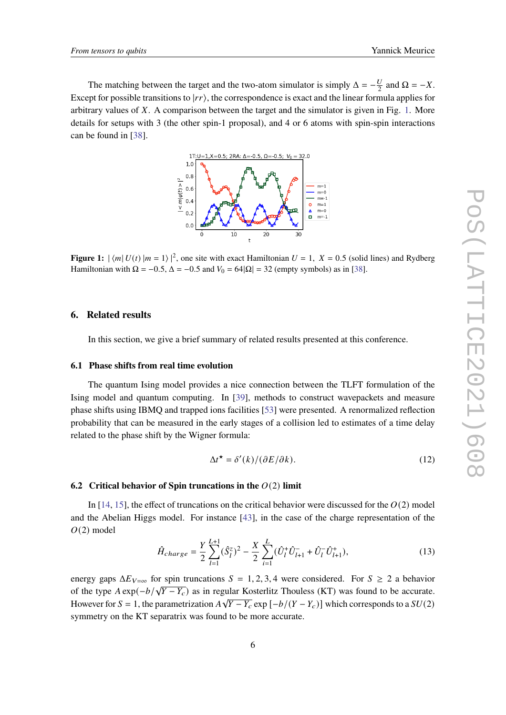<span id="page-6-1"></span>The matching between the target and the two-atom simulator is simply  $\Delta = -\frac{U}{2}$  $\frac{U}{2}$  and  $\Omega = -X$ . Except for possible transitions to  $|rr\rangle$ , the correspondence is exact and the linear formula applies for arbitrary values of  $X$ . A comparison between the target and the simulator is given in Fig. [1.](#page-6-1) More details for setups with 3 (the other spin-1 proposal), and 4 or 6 atoms with spin-spin interactions can be found in [\[38\]](#page-10-6).



**Figure 1:**  $|\langle m | U(t) | m = 1 \rangle|^2$ , one site with exact Hamiltonian  $U = 1$ ,  $X = 0.5$  (solid lines) and Rydberg Hamiltonian with  $\Omega = -0.5$ ,  $\Delta = -0.5$  and  $V_0 = 64|\Omega| = 32$  (empty symbols) as in [\[38\]](#page-10-6).

#### <span id="page-6-0"></span>**6. Related results**

In this section, we give a brief summary of related results presented at this conference.

#### **6.1 Phase shifts from real time evolution**

The quantum Ising model provides a nice connection between the TLFT formulation of the Ising model and quantum computing. In [\[39\]](#page-10-7), methods to construct wavepackets and measure phase shifts using IBMQ and trapped ions facilities [\[53\]](#page-11-5) were presented. A renormalized reflection probability that can be measured in the early stages of a collision led to estimates of a time delay related to the phase shift by the Wigner formula:

$$
\Delta t^{\star} = \delta'(k) / (\partial E / \partial k). \tag{12}
$$

#### **6.2** Critical behavior of Spin truncations in the  $O(2)$  limit

In [\[14,](#page-8-7) [15\]](#page-8-8), the effect of truncations on the critical behavior were discussed for the  $O(2)$  model and the Abelian Higgs model. For instance [\[43\]](#page-10-10), in the case of the charge representation of the  $O(2)$  model

$$
\hat{H}_{charge} = \frac{Y}{2} \sum_{l=1}^{L+1} (\hat{S}_l^z)^2 - \frac{X}{2} \sum_{i=1}^{L} (\hat{U}_l^+ \hat{U}_{l+1}^- + \hat{U}_l^- \hat{U}_{l+1}^+), \tag{13}
$$

energy gaps  $\Delta E_{V=\infty}$  for spin truncations  $S = 1, 2, 3, 4$  were considered. For  $S \ge 2$  a behavior of the type  $A \exp(-b/\sqrt{Y - Y_c})$  as in regular Kosterlitz Thouless (KT) was found to be accurate. However for  $S = 1$ , the parametrization  $A\sqrt{Y - Y_c}$  exp  $[-b/(Y - Y_c)]$  which corresponds to a  $SU(2)$ symmetry on the KT separatrix was found to be more accurate.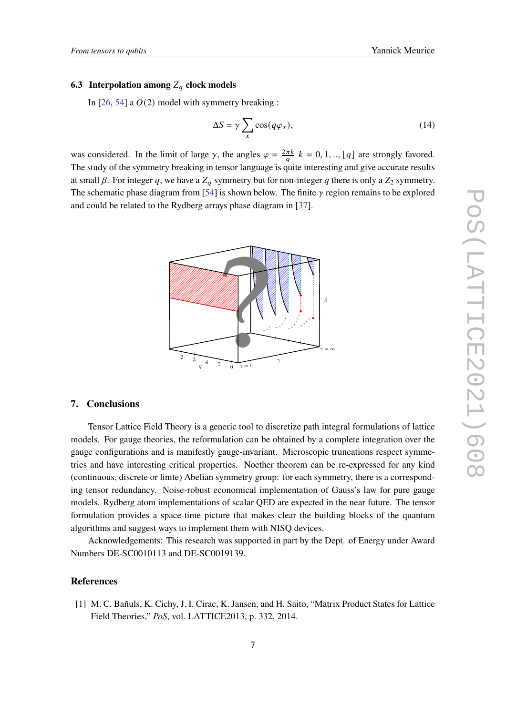## **6.3 Interpolation among**  $Z_q$  clock models

In [\[26,](#page-9-6) [54\]](#page-11-6) a  $O(2)$  model with symmetry breaking :

$$
\Delta S = \gamma \sum_{x} \cos(q \varphi_x), \tag{14}
$$

was considered. In the limit of large  $\gamma$ , the angles  $\varphi = \frac{2\pi k}{a} k = 0, 1, \dots, \lfloor q \rfloor$  are strongly favored. The study of the symmetry breaking in tensor language is quite interesting and give accurate results at small  $\beta$ . For integer q, we have a  $Z_q$  symmetry but for non-integer q there is only a  $Z_2$  symmetry. The schematic phase diagram from [\[54\]](#page-11-6) is shown below. The finite  $\gamma$  region remains to be explored and could be related to the Rydberg arrays phase diagram in [\[37\]](#page-10-5).



## **7. Conclusions**

Tensor Lattice Field Theory is a generic tool to discretize path integral formulations of lattice models. For gauge theories, the reformulation can be obtained by a complete integration over the gauge configurations and is manifestly gauge-invariant. Microscopic truncations respect symmetries and have interesting critical properties. Noether theorem can be re-expressed for any kind (continuous, discrete or finite) Abelian symmetry group: for each symmetry, there is a corresponding tensor redundancy. Noise-robust economical implementation of Gauss's law for pure gauge models. Rydberg atom implementations of scalar QED are expected in the near future. The tensor formulation provides a space-time picture that makes clear the building blocks of the quantum algorithms and suggest ways to implement them with NISQ devices.

Acknowledgements: This research was supported in part by the Dept. of Energy under Award Numbers DE-SC0010113 and DE-SC0019139.

### **References**

<span id="page-7-0"></span>[1] M. C. Bañuls, K. Cichy, J. I. Cirac, K. Jansen, and H. Saito, "Matrix Product States for Lattice Field Theories," *PoS*, vol. LATTICE2013, p. 332, 2014.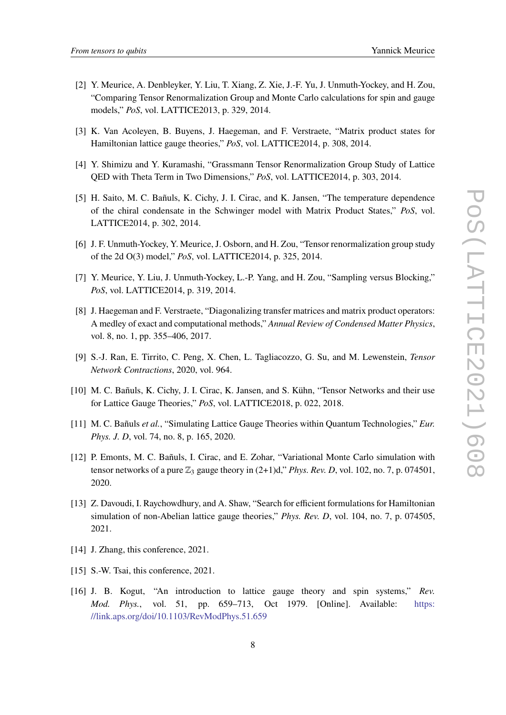- [2] Y. Meurice, A. Denbleyker, Y. Liu, T. Xiang, Z. Xie, J.-F. Yu, J. Unmuth-Yockey, and H. Zou, "Comparing Tensor Renormalization Group and Monte Carlo calculations for spin and gauge models," *PoS*, vol. LATTICE2013, p. 329, 2014.
- [3] K. Van Acoleyen, B. Buyens, J. Haegeman, and F. Verstraete, "Matrix product states for Hamiltonian lattice gauge theories," *PoS*, vol. LATTICE2014, p. 308, 2014.
- [4] Y. Shimizu and Y. Kuramashi, "Grassmann Tensor Renormalization Group Study of Lattice QED with Theta Term in Two Dimensions," *PoS*, vol. LATTICE2014, p. 303, 2014.
- [5] H. Saito, M. C. Bañuls, K. Cichy, J. I. Cirac, and K. Jansen, "The temperature dependence of the chiral condensate in the Schwinger model with Matrix Product States," *PoS*, vol. LATTICE2014, p. 302, 2014.
- [6] J. F. Unmuth-Yockey, Y. Meurice, J. Osborn, and H. Zou, "Tensor renormalization group study of the 2d O(3) model," *PoS*, vol. LATTICE2014, p. 325, 2014.
- <span id="page-8-0"></span>[7] Y. Meurice, Y. Liu, J. Unmuth-Yockey, L.-P. Yang, and H. Zou, "Sampling versus Blocking," *PoS*, vol. LATTICE2014, p. 319, 2014.
- <span id="page-8-1"></span>[8] J. Haegeman and F. Verstraete, "Diagonalizing transfer matrices and matrix product operators: A medley of exact and computational methods," *Annual Review of Condensed Matter Physics*, vol. 8, no. 1, pp. 355–406, 2017.
- <span id="page-8-2"></span>[9] S.-J. Ran, E. Tirrito, C. Peng, X. Chen, L. Tagliacozzo, G. Su, and M. Lewenstein, *Tensor Network Contractions*, 2020, vol. 964.
- <span id="page-8-3"></span>[10] M. C. Bañuls, K. Cichy, J. I. Cirac, K. Jansen, and S. Kühn, "Tensor Networks and their use for Lattice Gauge Theories," *PoS*, vol. LATTICE2018, p. 022, 2018.
- <span id="page-8-4"></span>[11] M. C. Bañuls *et al.*, "Simulating Lattice Gauge Theories within Quantum Technologies," *Eur. Phys. J. D, vol.* 74, no. 8, p. 165, 2020.
- <span id="page-8-5"></span>[12] P. Emonts, M. C. Bañuls, I. Cirac, and E. Zohar, "Variational Monte Carlo simulation with tensor networks of a pure  $\mathbb{Z}_3$  gauge theory in  $(2+1)d$ ," *Phys. Rev. D*, vol. 102, no. 7, p. 074501, 2020.
- <span id="page-8-6"></span>[13] Z. Davoudi, I. Raychowdhury, and A. Shaw, "Search for efficient formulations for Hamiltonian simulation of non-Abelian lattice gauge theories," *Phys. Rev. D*, vol. 104, no. 7, p. 074505, 2021.
- <span id="page-8-7"></span>[14] J. Zhang, this conference, 2021.
- <span id="page-8-8"></span>[15] S.-W. Tsai, this conference, 2021.
- <span id="page-8-9"></span>[16] J. B. Kogut, "An introduction to lattice gauge theory and spin systems," *Rev. Mod. Phys.*, vol. 51, pp. 659–713, Oct 1979. [Online]. Available: [https:](https://link.aps.org/doi/10.1103/RevModPhys.51.659) [//link.aps.org/doi/10.1103/RevModPhys.51.659](https://link.aps.org/doi/10.1103/RevModPhys.51.659)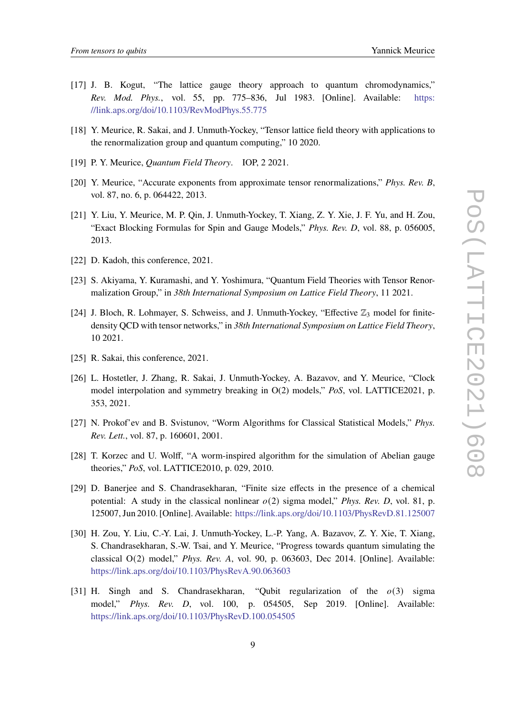- <span id="page-9-0"></span>[17] J. B. Kogut, "The lattice gauge theory approach to quantum chromodynamics," *Rev. Mod. Phys.*, vol. 55, pp. 775–836, Jul 1983. [Online]. Available: [https:](https://link.aps.org/doi/10.1103/RevModPhys.55.775) [//link.aps.org/doi/10.1103/RevModPhys.55.775](https://link.aps.org/doi/10.1103/RevModPhys.55.775)
- <span id="page-9-1"></span>[18] Y. Meurice, R. Sakai, and J. Unmuth-Yockey, "Tensor lattice field theory with applications to the renormalization group and quantum computing," 10 2020.
- <span id="page-9-2"></span>[19] P. Y. Meurice, *Quantum Field Theory*. IOP, 2 2021.
- <span id="page-9-3"></span>[20] Y. Meurice, "Accurate exponents from approximate tensor renormalizations," *Phys. Rev. B*, vol. 87, no. 6, p. 064422, 2013.
- <span id="page-9-4"></span>[21] Y. Liu, Y. Meurice, M. P. Qin, J. Unmuth-Yockey, T. Xiang, Z. Y. Xie, J. F. Yu, and H. Zou, "Exact Blocking Formulas for Spin and Gauge Models," *Phys. Rev. D*, vol. 88, p. 056005, 2013.
- <span id="page-9-5"></span>[22] D. Kadoh, this conference, 2021.
- [23] S. Akiyama, Y. Kuramashi, and Y. Yoshimura, "Quantum Field Theories with Tensor Renormalization Group," in *38th International Symposium on Lattice Field Theory*, 11 2021.
- [24] J. Bloch, R. Lohmayer, S. Schweiss, and J. Unmuth-Yockey, "Effective  $\mathbb{Z}_3$  model for finitedensity QCD with tensor networks," in *38th International Symposium on Lattice Field Theory*, 10 2021.
- [25] R. Sakai, this conference, 2021.
- <span id="page-9-6"></span>[26] L. Hostetler, J. Zhang, R. Sakai, J. Unmuth-Yockey, A. Bazavov, and Y. Meurice, "Clock model interpolation and symmetry breaking in O(2) models," *PoS*, vol. LATTICE2021, p. 353, 2021.
- <span id="page-9-7"></span>[27] N. Prokof'ev and B. Svistunov, "Worm Algorithms for Classical Statistical Models," *Phys. Rev. Lett.*, vol. 87, p. 160601, 2001.
- [28] T. Korzec and U. Wolff, "A worm-inspired algorithm for the simulation of Abelian gauge theories," *PoS*, vol. LATTICE2010, p. 029, 2010.
- [29] D. Banerjee and S. Chandrasekharan, "Finite size effects in the presence of a chemical potential: A study in the classical nonlinear  $o(2)$  sigma model," *Phys. Rev. D,* vol. 81, p. 125007, Jun 2010. [Online]. Available: <https://link.aps.org/doi/10.1103/PhysRevD.81.125007>
- <span id="page-9-9"></span>[30] H. Zou, Y. Liu, C.-Y. Lai, J. Unmuth-Yockey, L.-P. Yang, A. Bazavov, Z. Y. Xie, T. Xiang, S. Chandrasekharan, S.-W. Tsai, and Y. Meurice, "Progress towards quantum simulating the classical O(2) model," *Phys. Rev. A*, vol. 90, p. 063603, Dec 2014. [Online]. Available: <https://link.aps.org/doi/10.1103/PhysRevA.90.063603>
- <span id="page-9-8"></span>[31] H. Singh and S. Chandrasekharan, "Oubit regularization of the  $o(3)$  sigma model," *Phys. Rev. D*, vol. 100, p. 054505, Sep 2019. [Online]. Available: <https://link.aps.org/doi/10.1103/PhysRevD.100.054505>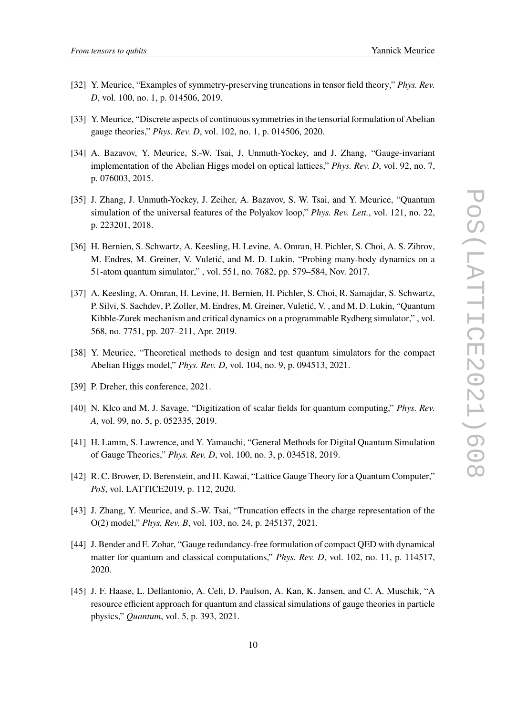- <span id="page-10-0"></span>[32] Y. Meurice, "Examples of symmetry-preserving truncations in tensor field theory," *Phys. Rev. D*, vol. 100, no. 1, p. 014506, 2019.
- <span id="page-10-1"></span>[33] Y. Meurice, "Discrete aspects of continuous symmetries in the tensorial formulation of Abelian gauge theories," *Phys. Rev. D*, vol. 102, no. 1, p. 014506, 2020.
- <span id="page-10-2"></span>[34] A. Bazavov, Y. Meurice, S.-W. Tsai, J. Unmuth-Yockey, and J. Zhang, "Gauge-invariant implementation of the Abelian Higgs model on optical lattices," *Phys. Rev. D*, vol. 92, no. 7, p. 076003, 2015.
- <span id="page-10-3"></span>[35] J. Zhang, J. Unmuth-Yockey, J. Zeiher, A. Bazavov, S. W. Tsai, and Y. Meurice, "Quantum simulation of the universal features of the Polyakov loop," *Phys. Rev. Lett.*, vol. 121, no. 22, p. 223201, 2018.
- <span id="page-10-4"></span>[36] H. Bernien, S. Schwartz, A. Keesling, H. Levine, A. Omran, H. Pichler, S. Choi, A. S. Zibrov, M. Endres, M. Greiner, V. Vuletić, and M. D. Lukin, "Probing many-body dynamics on a 51-atom quantum simulator," , vol. 551, no. 7682, pp. 579–584, Nov. 2017.
- <span id="page-10-5"></span>[37] A. Keesling, A. Omran, H. Levine, H. Bernien, H. Pichler, S. Choi, R. Samajdar, S. Schwartz, P. Silvi, S. Sachdev, P. Zoller, M. Endres, M. Greiner, Vuletić, V. , and M. D. Lukin, "Quantum Kibble-Zurek mechanism and critical dynamics on a programmable Rydberg simulator," , vol. 568, no. 7751, pp. 207–211, Apr. 2019.
- <span id="page-10-6"></span>[38] Y. Meurice, "Theoretical methods to design and test quantum simulators for the compact Abelian Higgs model," *Phys. Rev. D*, vol. 104, no. 9, p. 094513, 2021.
- <span id="page-10-7"></span>[39] P. Dreher, this conference, 2021.
- <span id="page-10-8"></span>[40] N. Klco and M. J. Savage, "Digitization of scalar fields for quantum computing," *Phys. Rev. A*, vol. 99, no. 5, p. 052335, 2019.
- [41] H. Lamm, S. Lawrence, and Y. Yamauchi, "General Methods for Digital Quantum Simulation of Gauge Theories," *Phys. Rev. D*, vol. 100, no. 3, p. 034518, 2019.
- <span id="page-10-9"></span>[42] R. C. Brower, D. Berenstein, and H. Kawai, "Lattice Gauge Theory for a Quantum Computer," *PoS*, vol. LATTICE2019, p. 112, 2020.
- <span id="page-10-10"></span>[43] J. Zhang, Y. Meurice, and S.-W. Tsai, "Truncation effects in the charge representation of the O(2) model," *Phys. Rev. B*, vol. 103, no. 24, p. 245137, 2021.
- <span id="page-10-11"></span>[44] J. Bender and E. Zohar, "Gauge redundancy-free formulation of compact QED with dynamical matter for quantum and classical computations," *Phys. Rev. D*, vol. 102, no. 11, p. 114517, 2020.
- [45] J. F. Haase, L. Dellantonio, A. Celi, D. Paulson, A. Kan, K. Jansen, and C. A. Muschik, "A resource efficient approach for quantum and classical simulations of gauge theories in particle physics," *Quantum*, vol. 5, p. 393, 2021.